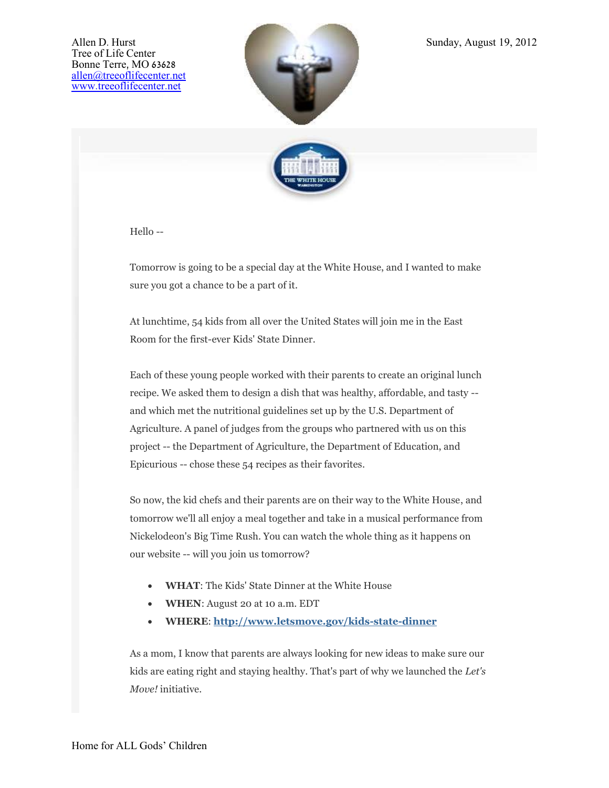



Hello --

Tomorrow is going to be a special day at the White House, and I wanted to make sure you got a chance to be a part of it.

At lunchtime, 54 kids from all over the United States will join me in the East Room for the first-ever Kids' State Dinner.

Each of these young people worked with their parents to create an original lunch recipe. We asked them to design a dish that was healthy, affordable, and tasty - and which met the nutritional guidelines set up by the U.S. Department of Agriculture. A panel of judges from the groups who partnered with us on this project -- the Department of Agriculture, the Department of Education, and Epicurious -- chose these 54 recipes as their favorites.

So now, the kid chefs and their parents are on their way to the White House, and tomorrow we'll all enjoy a meal together and take in a musical performance from Nickelodeon's Big Time Rush. You can watch the whole thing as it happens on our website -- will you join us tomorrow?

- **WHAT**: The Kids' State Dinner at the White House
- **WHEN**: August 20 at 10 a.m. EDT
- **WHERE**: **[http://www.letsmove.gov/kids-state-dinner](http://links.whitehouse.gov/track?type=click&enid=ZWFzPTEmbWFpbGluZ2lkPTIwMTIwODE5Ljk4ODg0OTEmbWVzc2FnZWlkPU1EQi1QUkQtQlVMLTIwMTIwODE5Ljk4ODg0OTEmZGF0YWJhc2VpZD0xMDAxJnNlcmlhbD0xNjkzNDk0OSZlbWFpbGlkPWFsbGVuQHRyZWVvZmxpZmVjZW50ZXIubmV0JnVzZXJpZD1hbGxlbkB0cmVlb2ZsaWZlY2VudGVyLm5ldCZmbD0mZXh0cmE9TXVsdGl2YXJpYXRlSWQ9JiYm&&&100&&&http://www.letsmove.gov/kids-state-dinner?utm_source=email178&utm_medium=text1&utm_campaign=letsmove)**

As a mom, I know that parents are always looking for new ideas to make sure our kids are eating right and staying healthy. That's part of why we launched the *Let's Move!* initiative.